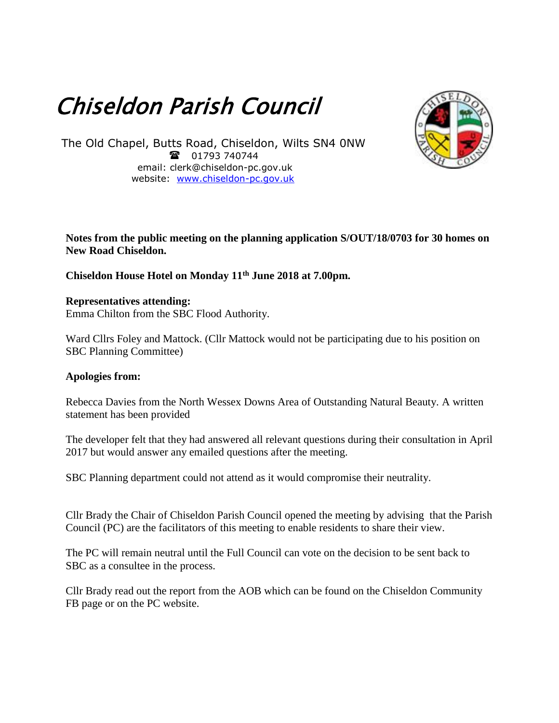# Chiseldon Parish Council



The Old Chapel, Butts Road, Chiseldon, Wilts SN4 0NW 101793 740744 email: clerk@chiseldon-pc.gov.uk website: [www.chiseldon-pc.gov.uk](http://www.chiseldon-pc.gov.uk/)

## **Notes from the public meeting on the planning application S/OUT/18/0703 for 30 homes on New Road Chiseldon.**

## **Chiseldon House Hotel on Monday 11th June 2018 at 7.00pm.**

**Representatives attending:** Emma Chilton from the SBC Flood Authority.

Ward Cllrs Foley and Mattock. (Cllr Mattock would not be participating due to his position on SBC Planning Committee)

### **Apologies from:**

Rebecca Davies from the North Wessex Downs Area of Outstanding Natural Beauty. A written statement has been provided

The developer felt that they had answered all relevant questions during their consultation in April 2017 but would answer any emailed questions after the meeting.

SBC Planning department could not attend as it would compromise their neutrality.

Cllr Brady the Chair of Chiseldon Parish Council opened the meeting by advising that the Parish Council (PC) are the facilitators of this meeting to enable residents to share their view.

The PC will remain neutral until the Full Council can vote on the decision to be sent back to SBC as a consultee in the process.

Cllr Brady read out the report from the AOB which can be found on the Chiseldon Community FB page or on the PC website.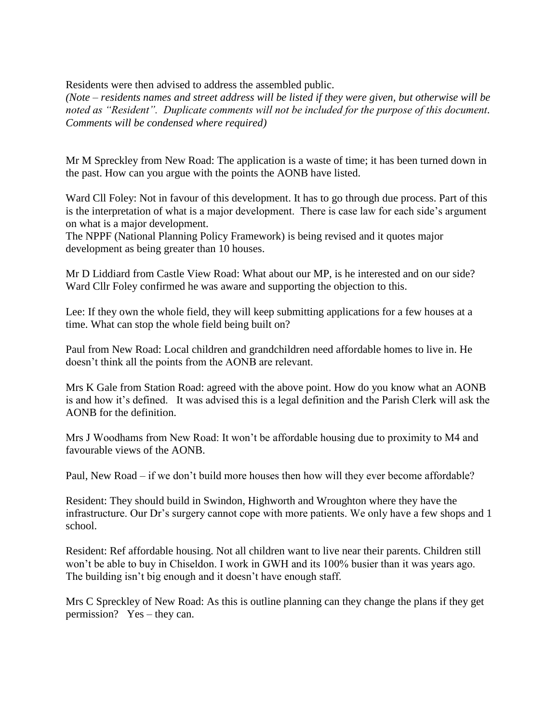Residents were then advised to address the assembled public.

*(Note – residents names and street address will be listed if they were given, but otherwise will be noted as "Resident". Duplicate comments will not be included for the purpose of this document. Comments will be condensed where required)*

Mr M Spreckley from New Road: The application is a waste of time; it has been turned down in the past. How can you argue with the points the AONB have listed.

Ward Cll Foley: Not in favour of this development. It has to go through due process. Part of this is the interpretation of what is a major development. There is case law for each side's argument on what is a major development.

The NPPF (National Planning Policy Framework) is being revised and it quotes major development as being greater than 10 houses.

Mr D Liddiard from Castle View Road: What about our MP, is he interested and on our side? Ward Cllr Foley confirmed he was aware and supporting the objection to this.

Lee: If they own the whole field, they will keep submitting applications for a few houses at a time. What can stop the whole field being built on?

Paul from New Road: Local children and grandchildren need affordable homes to live in. He doesn't think all the points from the AONB are relevant.

Mrs K Gale from Station Road: agreed with the above point. How do you know what an AONB is and how it's defined. It was advised this is a legal definition and the Parish Clerk will ask the AONB for the definition.

Mrs J Woodhams from New Road: It won't be affordable housing due to proximity to M4 and favourable views of the AONB.

Paul, New Road – if we don't build more houses then how will they ever become affordable?

Resident: They should build in Swindon, Highworth and Wroughton where they have the infrastructure. Our Dr's surgery cannot cope with more patients. We only have a few shops and 1 school.

Resident: Ref affordable housing. Not all children want to live near their parents. Children still won't be able to buy in Chiseldon. I work in GWH and its 100% busier than it was years ago. The building isn't big enough and it doesn't have enough staff.

Mrs C Spreckley of New Road: As this is outline planning can they change the plans if they get permission? Yes – they can.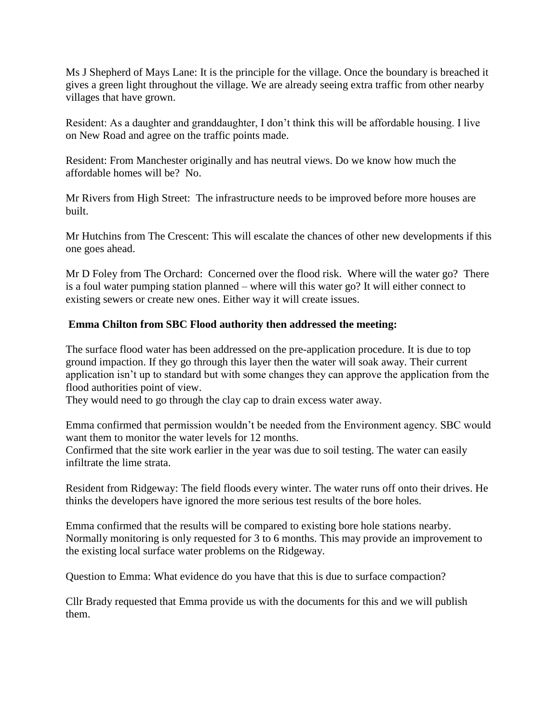Ms J Shepherd of Mays Lane: It is the principle for the village. Once the boundary is breached it gives a green light throughout the village. We are already seeing extra traffic from other nearby villages that have grown.

Resident: As a daughter and granddaughter, I don't think this will be affordable housing. I live on New Road and agree on the traffic points made.

Resident: From Manchester originally and has neutral views. Do we know how much the affordable homes will be? No.

Mr Rivers from High Street: The infrastructure needs to be improved before more houses are built.

Mr Hutchins from The Crescent: This will escalate the chances of other new developments if this one goes ahead.

Mr D Foley from The Orchard: Concerned over the flood risk. Where will the water go? There is a foul water pumping station planned – where will this water go? It will either connect to existing sewers or create new ones. Either way it will create issues.

### **Emma Chilton from SBC Flood authority then addressed the meeting:**

The surface flood water has been addressed on the pre-application procedure. It is due to top ground impaction. If they go through this layer then the water will soak away. Their current application isn't up to standard but with some changes they can approve the application from the flood authorities point of view.

They would need to go through the clay cap to drain excess water away.

Emma confirmed that permission wouldn't be needed from the Environment agency. SBC would want them to monitor the water levels for 12 months.

Confirmed that the site work earlier in the year was due to soil testing. The water can easily infiltrate the lime strata.

Resident from Ridgeway: The field floods every winter. The water runs off onto their drives. He thinks the developers have ignored the more serious test results of the bore holes.

Emma confirmed that the results will be compared to existing bore hole stations nearby. Normally monitoring is only requested for 3 to 6 months. This may provide an improvement to the existing local surface water problems on the Ridgeway.

Question to Emma: What evidence do you have that this is due to surface compaction?

Cllr Brady requested that Emma provide us with the documents for this and we will publish them.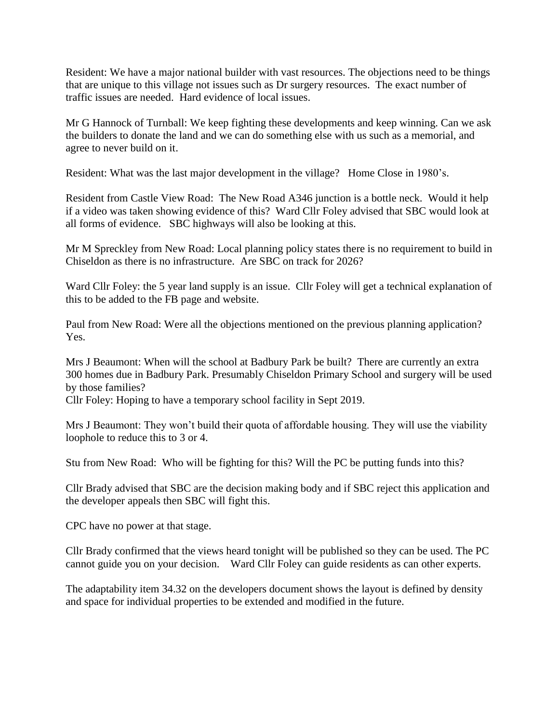Resident: We have a major national builder with vast resources. The objections need to be things that are unique to this village not issues such as Dr surgery resources. The exact number of traffic issues are needed. Hard evidence of local issues.

Mr G Hannock of Turnball: We keep fighting these developments and keep winning. Can we ask the builders to donate the land and we can do something else with us such as a memorial, and agree to never build on it.

Resident: What was the last major development in the village? Home Close in 1980's.

Resident from Castle View Road: The New Road A346 junction is a bottle neck. Would it help if a video was taken showing evidence of this? Ward Cllr Foley advised that SBC would look at all forms of evidence. SBC highways will also be looking at this.

Mr M Spreckley from New Road: Local planning policy states there is no requirement to build in Chiseldon as there is no infrastructure. Are SBC on track for 2026?

Ward Cllr Foley: the 5 year land supply is an issue. Cllr Foley will get a technical explanation of this to be added to the FB page and website.

Paul from New Road: Were all the objections mentioned on the previous planning application? Yes.

Mrs J Beaumont: When will the school at Badbury Park be built? There are currently an extra 300 homes due in Badbury Park. Presumably Chiseldon Primary School and surgery will be used by those families?

Cllr Foley: Hoping to have a temporary school facility in Sept 2019.

Mrs J Beaumont: They won't build their quota of affordable housing. They will use the viability loophole to reduce this to 3 or 4.

Stu from New Road: Who will be fighting for this? Will the PC be putting funds into this?

Cllr Brady advised that SBC are the decision making body and if SBC reject this application and the developer appeals then SBC will fight this.

CPC have no power at that stage.

Cllr Brady confirmed that the views heard tonight will be published so they can be used. The PC cannot guide you on your decision. Ward Cllr Foley can guide residents as can other experts.

The adaptability item 34.32 on the developers document shows the layout is defined by density and space for individual properties to be extended and modified in the future.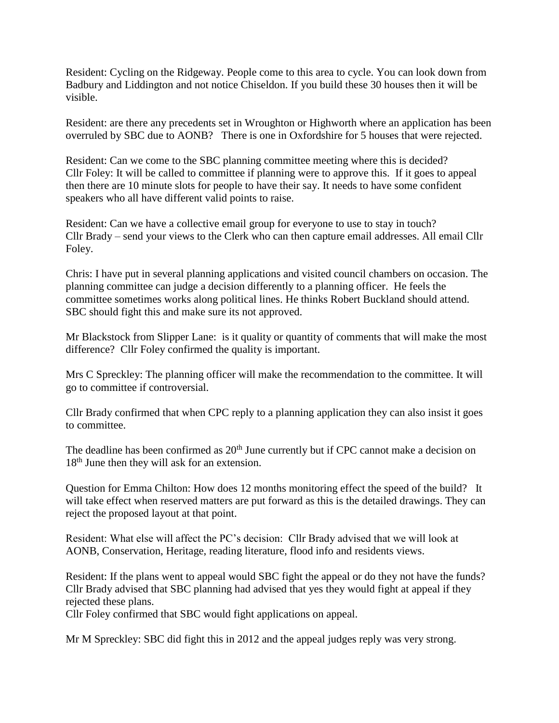Resident: Cycling on the Ridgeway. People come to this area to cycle. You can look down from Badbury and Liddington and not notice Chiseldon. If you build these 30 houses then it will be visible.

Resident: are there any precedents set in Wroughton or Highworth where an application has been overruled by SBC due to AONB? There is one in Oxfordshire for 5 houses that were rejected.

Resident: Can we come to the SBC planning committee meeting where this is decided? Cllr Foley: It will be called to committee if planning were to approve this. If it goes to appeal then there are 10 minute slots for people to have their say. It needs to have some confident speakers who all have different valid points to raise.

Resident: Can we have a collective email group for everyone to use to stay in touch? Cllr Brady – send your views to the Clerk who can then capture email addresses. All email Cllr Foley.

Chris: I have put in several planning applications and visited council chambers on occasion. The planning committee can judge a decision differently to a planning officer. He feels the committee sometimes works along political lines. He thinks Robert Buckland should attend. SBC should fight this and make sure its not approved.

Mr Blackstock from Slipper Lane: is it quality or quantity of comments that will make the most difference? Cllr Foley confirmed the quality is important.

Mrs C Spreckley: The planning officer will make the recommendation to the committee. It will go to committee if controversial.

Cllr Brady confirmed that when CPC reply to a planning application they can also insist it goes to committee.

The deadline has been confirmed as 20<sup>th</sup> June currently but if CPC cannot make a decision on 18<sup>th</sup> June then they will ask for an extension.

Question for Emma Chilton: How does 12 months monitoring effect the speed of the build? It will take effect when reserved matters are put forward as this is the detailed drawings. They can reject the proposed layout at that point.

Resident: What else will affect the PC's decision: Cllr Brady advised that we will look at AONB, Conservation, Heritage, reading literature, flood info and residents views.

Resident: If the plans went to appeal would SBC fight the appeal or do they not have the funds? Cllr Brady advised that SBC planning had advised that yes they would fight at appeal if they rejected these plans.

Cllr Foley confirmed that SBC would fight applications on appeal.

Mr M Spreckley: SBC did fight this in 2012 and the appeal judges reply was very strong.